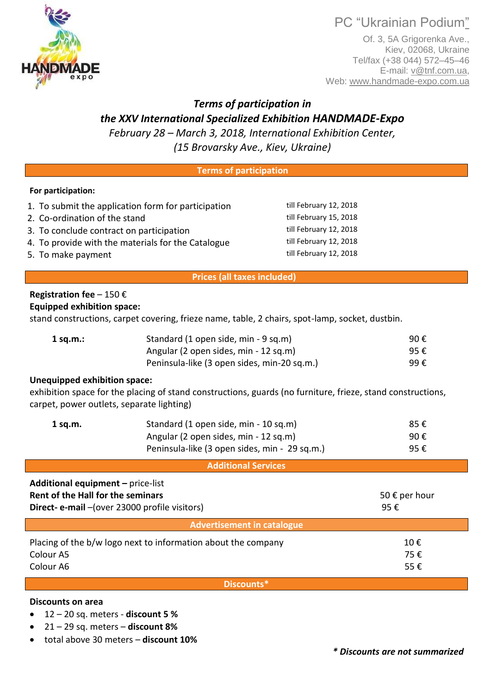PC "Ukrainian Podium"

Of. 3, 5A Grigorenka Ave., Kiev, 02068, Ukraine Tel/fax (+38 044) 572–45–46 E-mail: v@tnf.com.ua, Web: www.handmade-expo.com.ua

# *Terms of participation in the XXV International Specialized Exhibition HANDMADE-Expo*

*February 28 – March 3, 2018, International Exhibition Center, (15 Brovarsky Ave., Kiev, Ukraine)*

#### **Terms of participation**

# **For participation:**

|  | 1. To submit the application form for participation |  |  |  |  |
|--|-----------------------------------------------------|--|--|--|--|
|--|-----------------------------------------------------|--|--|--|--|

- 2. Co-ordination of the stand till February 15, 2018
- 3. To conclude contract on participation the same till February 12, 2018
- 4. To provide with the materials for the Catalogue till February 12, 2018
- 5. To make payment till February 12, 2018

# **Prices (all taxes included)**

#### **Registration fee** – 150 € **Equipped exhibition space:**

stand constructions, carpet covering, frieze name, table, 2 chairs, spot-lamp, socket, dustbin.

| $1$ sq.m.: | Standard (1 open side, min - 9 sq.m)        | 90€ |
|------------|---------------------------------------------|-----|
|            | Angular (2 open sides, min - 12 sq.m)       | 95€ |
|            | Peninsula-like (3 open sides, min-20 sq.m.) | 99€ |

# **Unequipped exhibition space:**

exhibition space for the placing of stand constructions, guards (no furniture, frieze, stand constructions, carpet, power outlets, separate lighting)

| $1$ sq.m. | Standard (1 open side, min - 10 sq.m)         | 85€ |
|-----------|-----------------------------------------------|-----|
|           | Angular (2 open sides, min - 12 sq.m)         | 90€ |
|           | Peninsula-like (3 open sides, min - 29 sq.m.) | 95€ |

**Additional Services**

| <b>Additional equipment - price-list</b>                      |               |  |  |  |
|---------------------------------------------------------------|---------------|--|--|--|
| Rent of the Hall for the seminars                             | 50 € per hour |  |  |  |
| Direct- e-mail - (over 23000 profile visitors)                | 95€           |  |  |  |
| Advertisement in catalogue                                    |               |  |  |  |
| Placing of the b/w logo next to information about the company | 10€           |  |  |  |
| Colour <sub>A5</sub>                                          | 75€           |  |  |  |
| Colour A6                                                     | 55€           |  |  |  |
|                                                               |               |  |  |  |

**Discounts\***

# **Discounts on area**

- 12 20 sq. meters **discount 5 %**
- 21 29 sq. meters **discount 8%**
- total above 30 meters **discount 10%**



till February 12, 2018